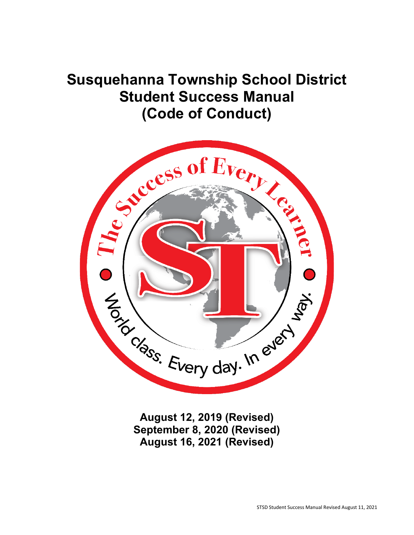# **Susquehanna Township School District Student Success Manual (Code of Conduct)**



**August 12, 2019 (Revised) September 8, 2020 (Revised) August 16, 2021 (Revised)**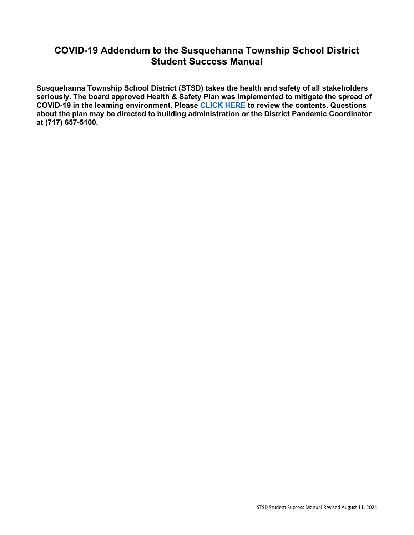# **COVID-19 Addendum to the Susquehanna Township School District Student Success Manual**

**Susquehanna Township School District (STSD) takes the health and safety of all stakeholders seriously. The board approved Health & Safety Plan was implemented to mitigate the spread of COVID-19 in the learning environment. Please [CLICK HERE](https://www.hannasd.org/our-district/covid-19) to review the contents. Questions about the plan may be directed to building administration or the District Pandemic Coordinator at (717) 657-5100.**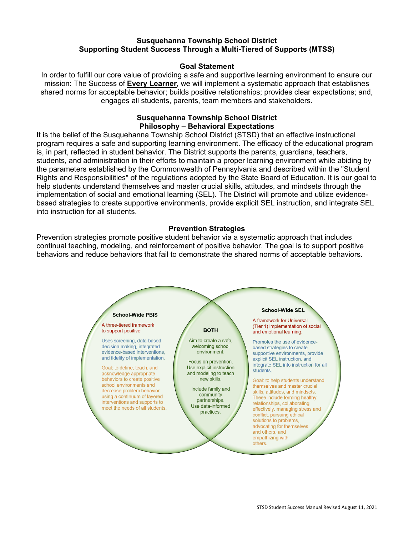#### **Susquehanna Township School District Supporting Student Success Through a Multi-Tiered of Supports (MTSS)**

#### **Goal Statement**

In order to fulfill our core value of providing a safe and supportive learning environment to ensure our mission: The Success of **Every Learner**, we will implement a systematic approach that establishes shared norms for acceptable behavior; builds positive relationships; provides clear expectations; and, engages all students, parents, team members and stakeholders.

#### **Susquehanna Township School District Philosophy – Behavioral Expectations**

It is the belief of the Susquehanna Township School District (STSD) that an effective instructional program requires a safe and supporting learning environment. The efficacy of the educational program is, in part, reflected in student behavior. The District supports the parents, guardians, teachers, students, and administration in their efforts to maintain a proper learning environment while abiding by the parameters established by the Commonwealth of Pennsylvania and described within the "Student Rights and Responsibilities" of the regulations adopted by the State Board of Education. It is our goal to help students understand themselves and master crucial skills, attitudes, and mindsets through the implementation of social and emotional learning (SEL). The District will promote and utilize evidencebased strategies to create supportive environments, provide explicit SEL instruction, and integrate SEL into instruction for all students.

#### **Prevention Strategies**

Prevention strategies promote positive student behavior via a systematic approach that includes continual teaching, modeling, and reinforcement of positive behavior. The goal is to support positive behaviors and reduce behaviors that fail to demonstrate the shared norms of acceptable behaviors.

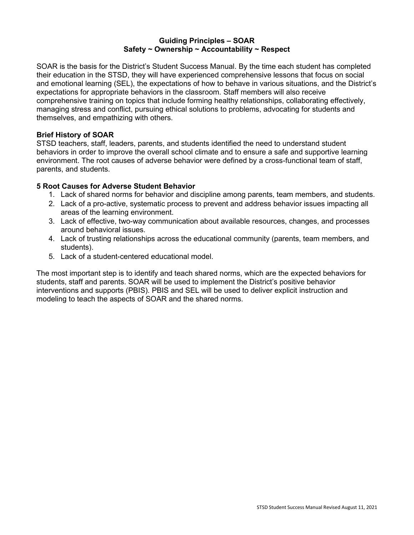#### **Guiding Principles – SOAR Safety ~ Ownership ~ Accountability ~ Respect**

SOAR is the basis for the District's Student Success Manual. By the time each student has completed their education in the STSD, they will have experienced comprehensive lessons that focus on social and emotional learning (SEL), the expectations of how to behave in various situations, and the District's expectations for appropriate behaviors in the classroom. Staff members will also receive comprehensive training on topics that include forming healthy relationships, collaborating effectively, managing stress and conflict, pursuing ethical solutions to problems, advocating for students and themselves, and empathizing with others.

#### **Brief History of SOAR**

STSD teachers, staff, leaders, parents, and students identified the need to understand student behaviors in order to improve the overall school climate and to ensure a safe and supportive learning environment. The root causes of adverse behavior were defined by a cross-functional team of staff, parents, and students.

#### **5 Root Causes for Adverse Student Behavior**

- 1. Lack of shared norms for behavior and discipline among parents, team members, and students.
- 2. Lack of a pro-active, systematic process to prevent and address behavior issues impacting all areas of the learning environment.
- 3. Lack of effective, two-way communication about available resources, changes, and processes around behavioral issues.
- 4. Lack of trusting relationships across the educational community (parents, team members, and students).
- 5. Lack of a student-centered educational model.

The most important step is to identify and teach shared norms, which are the expected behaviors for students, staff and parents. SOAR will be used to implement the District's positive behavior interventions and supports (PBIS). PBIS and SEL will be used to deliver explicit instruction and modeling to teach the aspects of SOAR and the shared norms.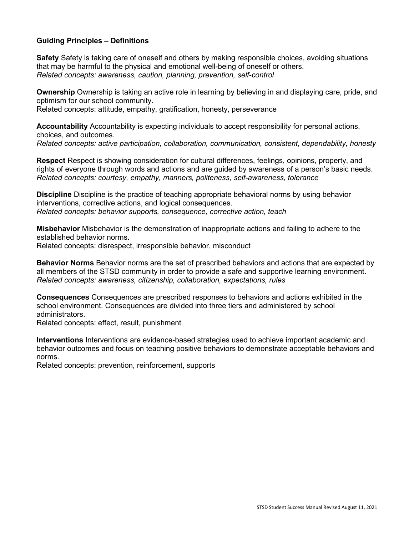#### **Guiding Principles – Definitions**

**Safety** Safety is taking care of oneself and others by making responsible choices, avoiding situations that may be harmful to the physical and emotional well-being of oneself or others. *Related concepts: awareness, caution, planning, prevention, self-control* 

**Ownership** Ownership is taking an active role in learning by believing in and displaying care, pride, and optimism for our school community.

Related concepts: attitude, empathy, gratification, honesty, perseverance

**Accountability** Accountability is expecting individuals to accept responsibility for personal actions, choices, and outcomes.

*Related concepts: active participation, collaboration, communication, consistent, dependability, honesty* 

**Respect** Respect is showing consideration for cultural differences, feelings, opinions, property, and rights of everyone through words and actions and are guided by awareness of a person's basic needs. *Related concepts: courtesy, empathy, manners, politeness, self-awareness, tolerance* 

**Discipline** Discipline is the practice of teaching appropriate behavioral norms by using behavior interventions, corrective actions, and logical consequences. *Related concepts: behavior supports, consequence, corrective action, teach* 

**Misbehavior** Misbehavior is the demonstration of inappropriate actions and failing to adhere to the established behavior norms. Related concepts: disrespect, irresponsible behavior, misconduct

**Behavior Norms** Behavior norms are the set of prescribed behaviors and actions that are expected by all members of the STSD community in order to provide a safe and supportive learning environment.

*Related concepts: awareness, citizenship, collaboration, expectations, rules* 

**Consequences** Consequences are prescribed responses to behaviors and actions exhibited in the school environment. Consequences are divided into three tiers and administered by school administrators.

Related concepts: effect, result, punishment

**Interventions** Interventions are evidence-based strategies used to achieve important academic and behavior outcomes and focus on teaching positive behaviors to demonstrate acceptable behaviors and norms.

Related concepts: prevention, reinforcement, supports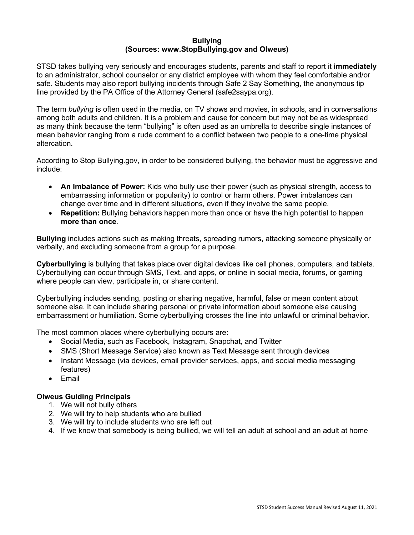#### **Bullying (Sources: www.StopBullying.gov and Olweus)**

STSD takes bullying very seriously and encourages students, parents and staff to report it **immediately**  to an administrator, school counselor or any district employee with whom they feel comfortable and/or safe. Students may also report bullying incidents through Safe 2 Say Something, the anonymous tip line provided by the PA Office of the Attorney General (safe2saypa.org).

The term *bullying* is often used in the media, on TV shows and movies, in schools, and in conversations among both adults and children. It is a problem and cause for concern but may not be as widespread as many think because the term "bullying" is often used as an umbrella to describe single instances of mean behavior ranging from a rude comment to a conflict between two people to a one-time physical altercation.

According to Stop Bullying.gov, in order to be considered bullying, the behavior must be aggressive and include:

- **An Imbalance of Power:** Kids who bully use their power (such as physical strength, access to embarrassing information or popularity) to control or harm others. Power imbalances can change over time and in different situations, even if they involve the same people.
- **Repetition:** Bullying behaviors happen more than once or have the high potential to happen **more than once**.

**Bullying** includes actions such as making threats, spreading rumors, attacking someone physically or verbally, and excluding someone from a group for a purpose.

**Cyberbullying** is bullying that takes place over digital devices like cell phones, computers, and tablets. Cyberbullying can occur through SMS, Text, and apps, or online in social media, forums, or gaming where people can view, participate in, or share content.

Cyberbullying includes sending, posting or sharing negative, harmful, false or mean content about someone else. It can include sharing personal or private information about someone else causing embarrassment or humiliation. Some cyberbullying crosses the line into unlawful or criminal behavior.

The most common places where cyberbullying occurs are:

- Social Media, such as Facebook, Instagram, Snapchat, and Twitter
- SMS (Short Message Service) also known as Text Message sent through devices
- Instant Message (via devices, email provider services, apps, and social media messaging features)
- Email

#### **Olweus Guiding Principals**

- 1. We will not bully others
- 2. We will try to help students who are bullied
- 3. We will try to include students who are left out
- 4. If we know that somebody is being bullied, we will tell an adult at school and an adult at home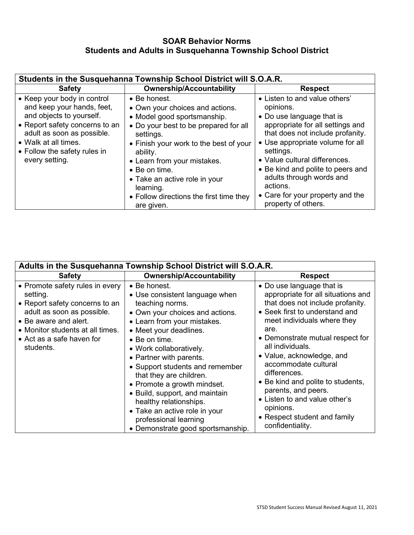### **SOAR Behavior Norms Students and Adults in Susquehanna Township School District**

| Students in the Susquehanna Township School District will S.O.A.R.                                                                                                                                                              |                                                                                                                                                                                                                                                                                                                                                           |                                                                                                                                                                                                                                                                                                                                                                           |  |  |
|---------------------------------------------------------------------------------------------------------------------------------------------------------------------------------------------------------------------------------|-----------------------------------------------------------------------------------------------------------------------------------------------------------------------------------------------------------------------------------------------------------------------------------------------------------------------------------------------------------|---------------------------------------------------------------------------------------------------------------------------------------------------------------------------------------------------------------------------------------------------------------------------------------------------------------------------------------------------------------------------|--|--|
| <b>Safety</b>                                                                                                                                                                                                                   | <b>Ownership/Accountability</b>                                                                                                                                                                                                                                                                                                                           | <b>Respect</b>                                                                                                                                                                                                                                                                                                                                                            |  |  |
| • Keep your body in control<br>and keep your hands, feet,<br>and objects to yourself.<br>• Report safety concerns to an<br>adult as soon as possible.<br>• Walk at all times.<br>• Follow the safety rules in<br>every setting. | $\bullet$ Be honest.<br>• Own your choices and actions.<br>• Model good sportsmanship.<br>• Do your best to be prepared for all<br>settings.<br>• Finish your work to the best of your<br>ability.<br>• Learn from your mistakes.<br>• Be on time.<br>• Take an active role in your<br>learning.<br>• Follow directions the first time they<br>are given. | • Listen to and value others'<br>opinions.<br>• Do use language that is<br>appropriate for all settings and<br>that does not include profanity.<br>• Use appropriate volume for all<br>settings.<br>• Value cultural differences.<br>• Be kind and polite to peers and<br>adults through words and<br>actions.<br>• Care for your property and the<br>property of others. |  |  |

| Adults in the Susquehanna Township School District will S.O.A.R.                                                                                                                                                           |                                                                                                                                                                                                                                                                                                                                                                                                                                                                                                      |                                                                                                                                                                                                                                                                                                                                                                                                                                                                         |  |  |
|----------------------------------------------------------------------------------------------------------------------------------------------------------------------------------------------------------------------------|------------------------------------------------------------------------------------------------------------------------------------------------------------------------------------------------------------------------------------------------------------------------------------------------------------------------------------------------------------------------------------------------------------------------------------------------------------------------------------------------------|-------------------------------------------------------------------------------------------------------------------------------------------------------------------------------------------------------------------------------------------------------------------------------------------------------------------------------------------------------------------------------------------------------------------------------------------------------------------------|--|--|
| <b>Safety</b>                                                                                                                                                                                                              | <b>Ownership/Accountability</b>                                                                                                                                                                                                                                                                                                                                                                                                                                                                      | <b>Respect</b>                                                                                                                                                                                                                                                                                                                                                                                                                                                          |  |  |
| • Promote safety rules in every<br>setting.<br>• Report safety concerns to an<br>adult as soon as possible.<br>• Be aware and alert.<br>• Monitor students at all times.<br>$\bullet$ Act as a safe haven for<br>students. | • Be honest.<br>• Use consistent language when<br>teaching norms.<br>• Own your choices and actions.<br>• Learn from your mistakes.<br>• Meet your deadlines.<br>$\bullet$ Be on time.<br>• Work collaboratively.<br>• Partner with parents.<br>• Support students and remember<br>that they are children.<br>• Promote a growth mindset.<br>• Build, support, and maintain<br>healthy relationships.<br>• Take an active role in your<br>professional learning<br>• Demonstrate good sportsmanship. | • Do use language that is<br>appropriate for all situations and<br>that does not include profanity.<br>• Seek first to understand and<br>meet individuals where they<br>are.<br>• Demonstrate mutual respect for<br>all individuals.<br>• Value, acknowledge, and<br>accommodate cultural<br>differences.<br>• Be kind and polite to students,<br>parents, and peers.<br>• Listen to and value other's<br>opinions.<br>• Respect student and family<br>confidentiality. |  |  |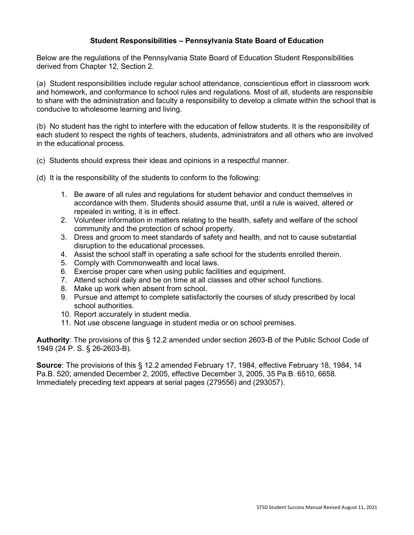#### **Student Responsibilities – Pennsylvania State Board of Education**

Below are the regulations of the Pennsylvania State Board of Education Student Responsibilities derived from Chapter 12, Section 2.

(a) Student responsibilities include regular school attendance, conscientious effort in classroom work and homework, and conformance to school rules and regulations. Most of all, students are responsible to share with the administration and faculty a responsibility to develop a climate within the school that is conducive to wholesome learning and living.

(b) No student has the right to interfere with the education of fellow students. It is the responsibility of each student to respect the rights of teachers, students, administrators and all others who are involved in the educational process.

- (c) Students should express their ideas and opinions in a respectful manner.
- (d) It is the responsibility of the students to conform to the following:
	- 1. Be aware of all rules and regulations for student behavior and conduct themselves in accordance with them. Students should assume that, until a rule is waived, altered or repealed in writing, it is in effect.
	- 2. Volunteer information in matters relating to the health, safety and welfare of the school community and the protection of school property.
	- 3. Dress and groom to meet standards of safety and health, and not to cause substantial disruption to the educational processes.
	- 4. Assist the school staff in operating a safe school for the students enrolled therein.
	- 5. Comply with Commonwealth and local laws.
	- 6. Exercise proper care when using public facilities and equipment.
	- 7. Attend school daily and be on time at all classes and other school functions.
	- 8. Make up work when absent from school.
	- 9. Pursue and attempt to complete satisfactorily the courses of study prescribed by local school authorities.
	- 10. Report accurately in student media.
	- 11. Not use obscene language in student media or on school premises.

**Authority**: The provisions of this § 12.2 amended under section 2603-B of the Public School Code of 1949 (24 P. S. § 26-2603-B).

**Source**: The provisions of this § 12.2 amended February 17, 1984, effective February 18, 1984, 14 Pa.B. 520; amended December 2, 2005, effective December 3, 2005, 35 Pa.B. 6510, 6658. Immediately preceding text appears at serial pages (279556) and (293057).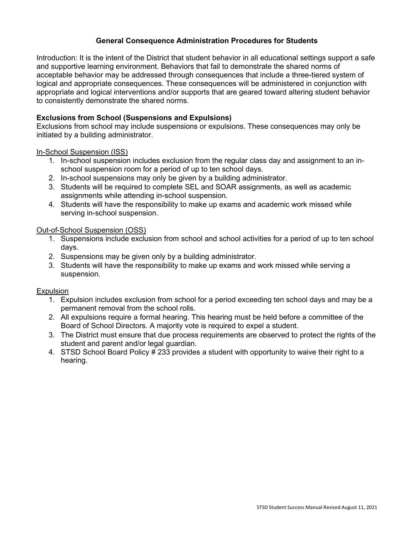#### **General Consequence Administration Procedures for Students**

Introduction: It is the intent of the District that student behavior in all educational settings support a safe and supportive learning environment. Behaviors that fail to demonstrate the shared norms of acceptable behavior may be addressed through consequences that include a three-tiered system of logical and appropriate consequences. These consequences will be administered in conjunction with appropriate and logical interventions and/or supports that are geared toward altering student behavior to consistently demonstrate the shared norms.

#### **Exclusions from School (Suspensions and Expulsions)**

Exclusions from school may include suspensions or expulsions. These consequences may only be initiated by a building administrator.

#### In-School Suspension (ISS)

- 1. In-school suspension includes exclusion from the regular class day and assignment to an inschool suspension room for a period of up to ten school days.
- 2. In-school suspensions may only be given by a building administrator.
- 3. Students will be required to complete SEL and SOAR assignments, as well as academic assignments while attending in-school suspension.
- 4. Students will have the responsibility to make up exams and academic work missed while serving in-school suspension.

#### Out-of-School Suspension (OSS)

- 1. Suspensions include exclusion from school and school activities for a period of up to ten school days.
- 2. Suspensions may be given only by a building administrator.
- 3. Students will have the responsibility to make up exams and work missed while serving a suspension.

#### **Expulsion**

- 1. Expulsion includes exclusion from school for a period exceeding ten school days and may be a permanent removal from the school rolls.
- 2. All expulsions require a formal hearing. This hearing must be held before a committee of the Board of School Directors. A majority vote is required to expel a student.
- 3. The District must ensure that due process requirements are observed to protect the rights of the student and parent and/or legal guardian.
- 4. STSD School Board Policy # 233 provides a student with opportunity to waive their right to a hearing.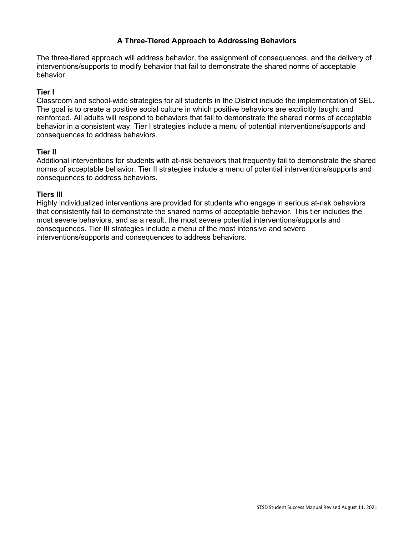#### **A Three-Tiered Approach to Addressing Behaviors**

The three-tiered approach will address behavior, the assignment of consequences, and the delivery of interventions/supports to modify behavior that fail to demonstrate the shared norms of acceptable behavior.

#### **Tier I**

Classroom and school-wide strategies for all students in the District include the implementation of SEL. The goal is to create a positive social culture in which positive behaviors are explicitly taught and reinforced. All adults will respond to behaviors that fail to demonstrate the shared norms of acceptable behavior in a consistent way. Tier I strategies include a menu of potential interventions/supports and consequences to address behaviors.

#### **Tier II**

Additional interventions for students with at-risk behaviors that frequently fail to demonstrate the shared norms of acceptable behavior. Tier II strategies include a menu of potential interventions/supports and consequences to address behaviors.

#### **Tiers III**

Highly individualized interventions are provided for students who engage in serious at-risk behaviors that consistently fail to demonstrate the shared norms of acceptable behavior. This tier includes the most severe behaviors, and as a result, the most severe potential interventions/supports and consequences. Tier III strategies include a menu of the most intensive and severe interventions/supports and consequences to address behaviors.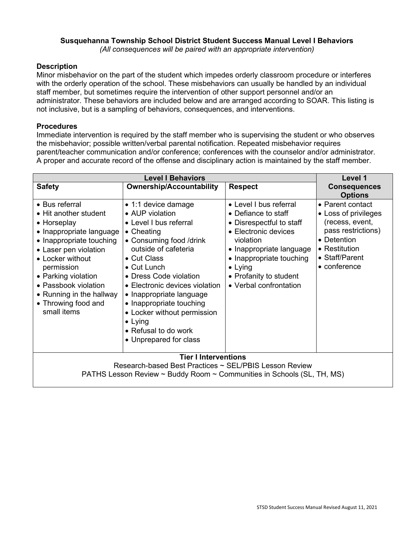#### **Susquehanna Township School District Student Success Manual Level I Behaviors**

*(All consequences will be paired with an appropriate intervention)*

#### **Description**

Minor misbehavior on the part of the student which impedes orderly classroom procedure or interferes with the orderly operation of the school. These misbehaviors can usually be handled by an individual staff member, but sometimes require the intervention of other support personnel and/or an administrator. These behaviors are included below and are arranged according to SOAR. This listing is not inclusive, but is a sampling of behaviors, consequences, and interventions.

#### **Procedures**

Immediate intervention is required by the staff member who is supervising the student or who observes the misbehavior; possible written/verbal parental notification. Repeated misbehavior requires parent/teacher communication and/or conference; conferences with the counselor and/or administrator. A proper and accurate record of the offense and disciplinary action is maintained by the staff member.

| <b>Level I Behaviors</b>                                                                                                                                                                                                                                                                   |                                                                                                                                                                                                                                                                                                                                                                                                 |                                                                                                                                                                                                                                               | Level 1                                                                                                                                             |
|--------------------------------------------------------------------------------------------------------------------------------------------------------------------------------------------------------------------------------------------------------------------------------------------|-------------------------------------------------------------------------------------------------------------------------------------------------------------------------------------------------------------------------------------------------------------------------------------------------------------------------------------------------------------------------------------------------|-----------------------------------------------------------------------------------------------------------------------------------------------------------------------------------------------------------------------------------------------|-----------------------------------------------------------------------------------------------------------------------------------------------------|
| <b>Safety</b>                                                                                                                                                                                                                                                                              | <b>Ownership/Accountability</b>                                                                                                                                                                                                                                                                                                                                                                 | <b>Respect</b>                                                                                                                                                                                                                                | <b>Consequences</b><br><b>Options</b>                                                                                                               |
| • Bus referral<br>• Hit another student<br>• Horseplay<br>• Inappropriate language<br>• Inappropriate touching<br>• Laser pen violation<br>• Locker without<br>permission<br>• Parking violation<br>• Passbook violation<br>• Running in the hallway<br>• Throwing food and<br>small items | $\bullet$ 1:1 device damage<br>• AUP violation<br>• Level I bus referral<br>• Cheating<br>• Consuming food /drink<br>outside of cafeteria<br>• Cut Class<br>• Cut Lunch<br>• Dress Code violation<br>• Electronic devices violation<br>• Inappropriate language<br>• Inappropriate touching<br>• Locker without permission<br>$\bullet$ Lying<br>• Refusal to do work<br>• Unprepared for class | • Level I bus referral<br>• Defiance to staff<br>• Disrespectful to staff<br>• Electronic devices<br>violation<br>• Inappropriate language<br>• Inappropriate touching<br>$\bullet$ Lying<br>• Profanity to student<br>• Verbal confrontation | • Parent contact<br>• Loss of privileges<br>(recess, event,<br>pass restrictions)<br>• Detention<br>• Restitution<br>• Staff/Parent<br>• conference |
| <b>Tier I Interventions</b><br>Research-based Best Practices ~ SEL/PBIS Lesson Review<br>PATHS Lesson Review ~ Buddy Room ~ Communities in Schools (SL, TH, MS)                                                                                                                            |                                                                                                                                                                                                                                                                                                                                                                                                 |                                                                                                                                                                                                                                               |                                                                                                                                                     |
|                                                                                                                                                                                                                                                                                            |                                                                                                                                                                                                                                                                                                                                                                                                 |                                                                                                                                                                                                                                               |                                                                                                                                                     |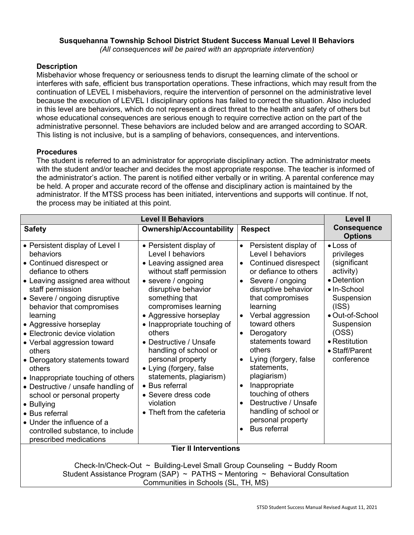# **Susquehanna Township School District Student Success Manual Level II Behaviors**

*(All consequences will be paired with an appropriate intervention)*

#### **Description**

Misbehavior whose frequency or seriousness tends to disrupt the learning climate of the school or interferes with safe, efficient bus transportation operations. These infractions, which may result from the continuation of LEVEL I misbehaviors, require the intervention of personnel on the administrative level because the execution of LEVEL I disciplinary options has failed to correct the situation. Also included in this level are behaviors, which do not represent a direct threat to the health and safety of others but whose educational consequences are serious enough to require corrective action on the part of the administrative personnel. These behaviors are included below and are arranged according to SOAR. This listing is not inclusive, but is a sampling of behaviors, consequences, and interventions.

#### **Procedures**

The student is referred to an administrator for appropriate disciplinary action. The administrator meets with the student and/or teacher and decides the most appropriate response. The teacher is informed of the administrator's action. The parent is notified either verbally or in writing. A parental conference may be held. A proper and accurate record of the offense and disciplinary action is maintained by the administrator. If the MTSS process has been initiated, interventions and supports will continue. If not, the process may be initiated at this point.

| <b>Level II Behaviors</b>                                                                                                                                                                                                                                                                                                                                                                                                                                                                                                                                                                                              |                                                                                                                                                                                                                                                                                                                                                                                                                                                                                 |                                                                                                                                                                                                                                                                                                                                                                                                                                                                                                                                                                           | <b>Level II</b>                                                                                                                                                                                              |
|------------------------------------------------------------------------------------------------------------------------------------------------------------------------------------------------------------------------------------------------------------------------------------------------------------------------------------------------------------------------------------------------------------------------------------------------------------------------------------------------------------------------------------------------------------------------------------------------------------------------|---------------------------------------------------------------------------------------------------------------------------------------------------------------------------------------------------------------------------------------------------------------------------------------------------------------------------------------------------------------------------------------------------------------------------------------------------------------------------------|---------------------------------------------------------------------------------------------------------------------------------------------------------------------------------------------------------------------------------------------------------------------------------------------------------------------------------------------------------------------------------------------------------------------------------------------------------------------------------------------------------------------------------------------------------------------------|--------------------------------------------------------------------------------------------------------------------------------------------------------------------------------------------------------------|
| <b>Safety</b>                                                                                                                                                                                                                                                                                                                                                                                                                                                                                                                                                                                                          | <b>Ownership/Accountability</b>                                                                                                                                                                                                                                                                                                                                                                                                                                                 | <b>Respect</b>                                                                                                                                                                                                                                                                                                                                                                                                                                                                                                                                                            | <b>Consequence</b><br><b>Options</b>                                                                                                                                                                         |
| • Persistent display of Level I<br>behaviors<br>• Continued disrespect or<br>defiance to others<br>• Leaving assigned area without<br>staff permission<br>• Severe / ongoing disruptive<br>behavior that compromises<br>learning<br>• Aggressive horseplay<br>• Electronic device violation<br>• Verbal aggression toward<br>others<br>• Derogatory statements toward<br>others<br>• Inappropriate touching of others<br>• Destructive / unsafe handling of<br>school or personal property<br>• Bullying<br>• Bus referral<br>• Under the influence of a<br>controlled substance, to include<br>prescribed medications | • Persistent display of<br>Level I behaviors<br>• Leaving assigned area<br>without staff permission<br>• severe / ongoing<br>disruptive behavior<br>something that<br>compromises learning<br>• Aggressive horseplay<br>• Inappropriate touching of<br>others<br>• Destructive / Unsafe<br>handling of school or<br>personal property<br>• Lying (forgery, false<br>statements, plagiarism)<br>• Bus referral<br>• Severe dress code<br>violation<br>• Theft from the cafeteria | Persistent display of<br>$\bullet$<br>Level I behaviors<br>Continued disrespect<br>$\bullet$<br>or defiance to others<br>Severe / ongoing<br>$\bullet$<br>disruptive behavior<br>that compromises<br>learning<br>Verbal aggression<br>$\bullet$<br>toward others<br>Derogatory<br>$\bullet$<br>statements toward<br>others<br>Lying (forgery, false<br>$\bullet$<br>statements,<br>plagiarism)<br>Inappropriate<br>$\bullet$<br>touching of others<br>Destructive / Unsafe<br>$\bullet$<br>handling of school or<br>personal property<br><b>Bus referral</b><br>$\bullet$ | $\bullet$ Loss of<br>privileges<br>(significant<br>activity)<br>• Detention<br>· In-School<br>Suspension<br>(ISS)<br>• Out-of-School<br>Suspension<br>(OSS)<br>• Restitution<br>• Staff/Parent<br>conference |
| <b>Tier II Interventions</b>                                                                                                                                                                                                                                                                                                                                                                                                                                                                                                                                                                                           |                                                                                                                                                                                                                                                                                                                                                                                                                                                                                 |                                                                                                                                                                                                                                                                                                                                                                                                                                                                                                                                                                           |                                                                                                                                                                                                              |
| Check-In/Check-Out ~ Building-Level Small Group Counseling ~ Buddy Room<br>Student Assistance Program (SAP) ~ PATHS ~ Mentoring ~ Behavioral Consultation<br>Communities in Schools (SL, TH, MS)                                                                                                                                                                                                                                                                                                                                                                                                                       |                                                                                                                                                                                                                                                                                                                                                                                                                                                                                 |                                                                                                                                                                                                                                                                                                                                                                                                                                                                                                                                                                           |                                                                                                                                                                                                              |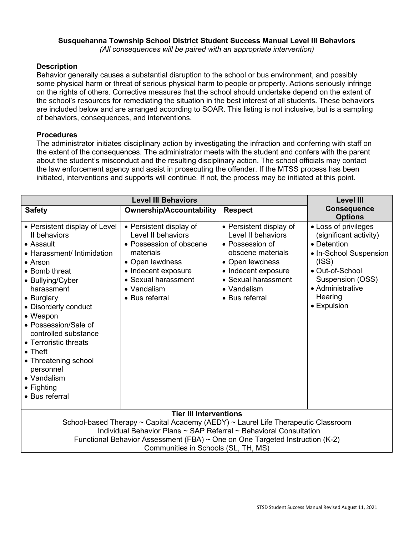## **Susquehanna Township School District Student Success Manual Level III Behaviors**

*(All consequences will be paired with an appropriate intervention)*

#### **Description**

Behavior generally causes a substantial disruption to the school or bus environment, and possibly some physical harm or threat of serious physical harm to people or property. Actions seriously infringe on the rights of others. Corrective measures that the school should undertake depend on the extent of the school's resources for remediating the situation in the best interest of all students. These behaviors are included below and are arranged according to SOAR. This listing is not inclusive, but is a sampling of behaviors, consequences, and interventions.

#### **Procedures**

The administrator initiates disciplinary action by investigating the infraction and conferring with staff on the extent of the consequences. The administrator meets with the student and confers with the parent about the student's misconduct and the resulting disciplinary action. The school officials may contact the law enforcement agency and assist in prosecuting the offender. If the MTSS process has been initiated, interventions and supports will continue. If not, the process may be initiated at this point.

| <b>Level III Behaviors</b>                                                                                                                                                                                                                                                                                                                                                                               |                                                                                                                                                                                         |                                                                                                                                                                                         | <b>Level III</b>                                                                                                                                                                      |
|----------------------------------------------------------------------------------------------------------------------------------------------------------------------------------------------------------------------------------------------------------------------------------------------------------------------------------------------------------------------------------------------------------|-----------------------------------------------------------------------------------------------------------------------------------------------------------------------------------------|-----------------------------------------------------------------------------------------------------------------------------------------------------------------------------------------|---------------------------------------------------------------------------------------------------------------------------------------------------------------------------------------|
| <b>Safety</b>                                                                                                                                                                                                                                                                                                                                                                                            | <b>Ownership/Accountability</b>                                                                                                                                                         | <b>Respect</b>                                                                                                                                                                          | <b>Consequence</b><br><b>Options</b>                                                                                                                                                  |
| • Persistent display of Level<br>II behaviors<br>• Assault<br>• Harassment/ Intimidation<br>$\bullet$ Arson<br>• Bomb threat<br>• Bullying/Cyber<br>harassment<br>• Burglary<br>• Disorderly conduct<br>• Weapon<br>• Possession/Sale of<br>controlled substance<br>• Terroristic threats<br>$\bullet$ Theft<br>• Threatening school<br>personnel<br>• Vandalism<br>$\bullet$ Fighting<br>• Bus referral | • Persistent display of<br>Level II behaviors<br>• Possession of obscene<br>materials<br>• Open lewdness<br>• Indecent exposure<br>• Sexual harassment<br>• Vandalism<br>• Bus referral | • Persistent display of<br>Level II behaviors<br>• Possession of<br>obscene materials<br>• Open lewdness<br>• Indecent exposure<br>• Sexual harassment<br>• Vandalism<br>• Bus referral | • Loss of privileges<br>(significant activity)<br>• Detention<br>• In-School Suspension<br>(ISS)<br>• Out-of-School<br>Suspension (OSS)<br>• Administrative<br>Hearing<br>• Expulsion |
| <b>Tier III Interventions</b>                                                                                                                                                                                                                                                                                                                                                                            |                                                                                                                                                                                         |                                                                                                                                                                                         |                                                                                                                                                                                       |
| School-based Therapy ~ Capital Academy (AEDY) ~ Laurel Life Therapeutic Classroom                                                                                                                                                                                                                                                                                                                        |                                                                                                                                                                                         |                                                                                                                                                                                         |                                                                                                                                                                                       |
| Individual Behavior Plans ~ SAP Referral ~ Behavioral Consultation<br>Functional Behavior Assessment (FBA) $\sim$ One on One Targeted Instruction (K-2)                                                                                                                                                                                                                                                  |                                                                                                                                                                                         |                                                                                                                                                                                         |                                                                                                                                                                                       |
| Communities in Schools (SL, TH, MS)                                                                                                                                                                                                                                                                                                                                                                      |                                                                                                                                                                                         |                                                                                                                                                                                         |                                                                                                                                                                                       |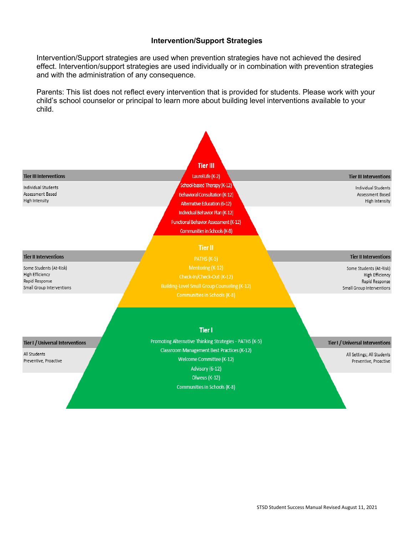#### **Intervention/Support Strategies**

Intervention/Support strategies are used when prevention strategies have not achieved the desired effect. Intervention/support strategies are used individually or in combination with prevention strategies and with the administration of any consequence.

Parents: This list does not reflect every intervention that is provided for students. Please work with your child's school counselor or principal to learn more about building level interventions available to your child.

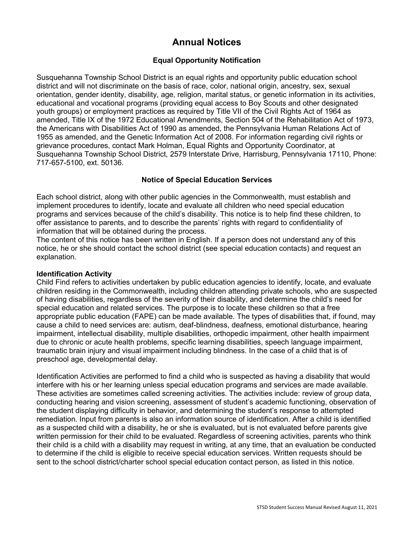# **Annual Notices**

#### **Equal Opportunity Notification**

Susquehanna Township School District is an equal rights and opportunity public education school district and will not discriminate on the basis of race, color, national origin, ancestry, sex, sexual orientation, gender identity, disability, age, religion, marital status, or genetic information in its activities, educational and vocational programs (providing equal access to Boy Scouts and other designated youth groups) or employment practices as required by Title VII of the Civil Rights Act of 1964 as amended, Title IX of the 1972 Educational Amendments, Section 504 of the Rehabilitation Act of 1973, the Americans with Disabilities Act of 1990 as amended, the Pennsylvania Human Relations Act of 1955 as amended, and the Genetic Information Act of 2008. For information regarding civil rights or grievance procedures, contact Mark Holman, Equal Rights and Opportunity Coordinator, at Susquehanna Township School District, 2579 Interstate Drive, Harrisburg, Pennsylvania 17110, Phone: 717-657-5100, ext. 50136.

#### **Notice of Special Education Services**

Each school district, along with other public agencies in the Commonwealth, must establish and implement procedures to identify, locate and evaluate all children who need special education programs and services because of the child's disability. This notice is to help find these children, to offer assistance to parents, and to describe the parents' rights with regard to confidentiality of information that will be obtained during the process.

The content of this notice has been written in English. If a person does not understand any of this notice, he or she should contact the school district (see special education contacts) and request an explanation.

#### **Identification Activity**

Child Find refers to activities undertaken by public education agencies to identify, locate, and evaluate children residing in the Commonwealth, including children attending private schools, who are suspected of having disabilities, regardless of the severity of their disability, and determine the child's need for special education and related services. The purpose is to locate these children so that a free appropriate public education (FAPE) can be made available. The types of disabilities that, if found, may cause a child to need services are: autism, deaf-blindness, deafness, emotional disturbance, hearing impairment, intellectual disability, multiple disabilities, orthopedic impairment, other health impairment due to chronic or acute health problems, specific learning disabilities, speech language impairment, traumatic brain injury and visual impairment including blindness. In the case of a child that is of preschool age, developmental delay.

Identification Activities are performed to find a child who is suspected as having a disability that would interfere with his or her learning unless special education programs and services are made available. These activities are sometimes called screening activities. The activities include: review of group data, conducting hearing and vision screening, assessment of student's academic functioning, observation of the student displaying difficulty in behavior, and determining the student's response to attempted remediation. Input from parents is also an information source of identification. After a child is identified as a suspected child with a disability, he or she is evaluated, but is not evaluated before parents give written permission for their child to be evaluated. Regardless of screening activities, parents who think their child is a child with a disability may request in writing, at any time, that an evaluation be conducted to determine if the child is eligible to receive special education services. Written requests should be sent to the school district/charter school special education contact person, as listed in this notice.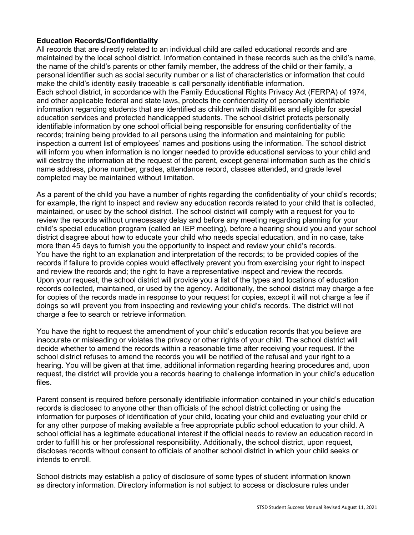#### **Education Records/Confidentiality**

All records that are directly related to an individual child are called educational records and are maintained by the local school district. Information contained in these records such as the child's name, the name of the child's parents or other family member, the address of the child or their family, a personal identifier such as social security number or a list of characteristics or information that could make the child's identity easily traceable is call personally identifiable information. Each school district, in accordance with the Family Educational Rights Privacy Act (FERPA) of 1974,

and other applicable federal and state laws, protects the confidentiality of personally identifiable information regarding students that are identified as children with disabilities and eligible for special education services and protected handicapped students. The school district protects personally identifiable information by one school official being responsible for ensuring confidentiality of the records; training being provided to all persons using the information and maintaining for public inspection a current list of employees' names and positions using the information. The school district will inform you when information is no longer needed to provide educational services to your child and will destroy the information at the request of the parent, except general information such as the child's name address, phone number, grades, attendance record, classes attended, and grade level completed may be maintained without limitation.

As a parent of the child you have a number of rights regarding the confidentiality of your child's records; for example, the right to inspect and review any education records related to your child that is collected, maintained, or used by the school district. The school district will comply with a request for you to review the records without unnecessary delay and before any meeting regarding planning for your child's special education program (called an IEP meeting), before a hearing should you and your school district disagree about how to educate your child who needs special education, and in no case, take more than 45 days to furnish you the opportunity to inspect and review your child's records. You have the right to an explanation and interpretation of the records; to be provided copies of the records if failure to provide copies would effectively prevent you from exercising your right to inspect and review the records and; the right to have a representative inspect and review the records. Upon your request, the school district will provide you a list of the types and locations of education records collected, maintained, or used by the agency. Additionally, the school district may charge a fee for copies of the records made in response to your request for copies, except it will not charge a fee if doings so will prevent you from inspecting and reviewing your child's records. The district will not charge a fee to search or retrieve information.

You have the right to request the amendment of your child's education records that you believe are inaccurate or misleading or violates the privacy or other rights of your child. The school district will decide whether to amend the records within a reasonable time after receiving your request. If the school district refuses to amend the records you will be notified of the refusal and your right to a hearing. You will be given at that time, additional information regarding hearing procedures and, upon request, the district will provide you a records hearing to challenge information in your child's education files.

Parent consent is required before personally identifiable information contained in your child's education records is disclosed to anyone other than officials of the school district collecting or using the information for purposes of identification of your child, locating your child and evaluating your child or for any other purpose of making available a free appropriate public school education to your child. A school official has a legitimate educational interest if the official needs to review an education record in order to fulfill his or her professional responsibility. Additionally, the school district, upon request, discloses records without consent to officials of another school district in which your child seeks or intends to enroll.

School districts may establish a policy of disclosure of some types of student information known as directory information. Directory information is not subject to access or disclosure rules under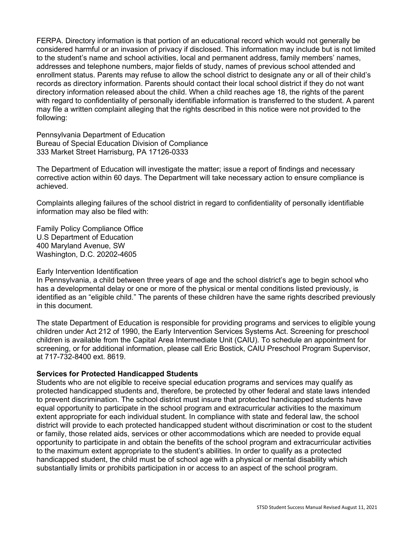FERPA. Directory information is that portion of an educational record which would not generally be considered harmful or an invasion of privacy if disclosed. This information may include but is not limited to the student's name and school activities, local and permanent address, family members' names, addresses and telephone numbers, major fields of study, names of previous school attended and enrollment status. Parents may refuse to allow the school district to designate any or all of their child's records as directory information. Parents should contact their local school district if they do not want directory information released about the child. When a child reaches age 18, the rights of the parent with regard to confidentiality of personally identifiable information is transferred to the student. A parent may file a written complaint alleging that the rights described in this notice were not provided to the following:

Pennsylvania Department of Education Bureau of Special Education Division of Compliance 333 Market Street Harrisburg, PA 17126-0333

The Department of Education will investigate the matter; issue a report of findings and necessary corrective action within 60 days. The Department will take necessary action to ensure compliance is achieved.

Complaints alleging failures of the school district in regard to confidentiality of personally identifiable information may also be filed with:

Family Policy Compliance Office U.S Department of Education 400 Maryland Avenue, SW Washington, D.C. 20202-4605

#### Early Intervention Identification

In Pennsylvania, a child between three years of age and the school district's age to begin school who has a developmental delay or one or more of the physical or mental conditions listed previously, is identified as an "eligible child." The parents of these children have the same rights described previously in this document.

The state Department of Education is responsible for providing programs and services to eligible young children under Act 212 of 1990, the Early Intervention Services Systems Act. Screening for preschool children is available from the Capital Area Intermediate Unit (CAIU). To schedule an appointment for screening, or for additional information, please call Eric Bostick, CAIU Preschool Program Supervisor, at 717-732-8400 ext. 8619.

#### **Services for Protected Handicapped Students**

Students who are not eligible to receive special education programs and services may qualify as protected handicapped students and, therefore, be protected by other federal and state laws intended to prevent discrimination. The school district must insure that protected handicapped students have equal opportunity to participate in the school program and extracurricular activities to the maximum extent appropriate for each individual student. In compliance with state and federal law, the school district will provide to each protected handicapped student without discrimination or cost to the student or family, those related aids, services or other accommodations which are needed to provide equal opportunity to participate in and obtain the benefits of the school program and extracurricular activities to the maximum extent appropriate to the student's abilities. In order to qualify as a protected handicapped student, the child must be of school age with a physical or mental disability which substantially limits or prohibits participation in or access to an aspect of the school program.